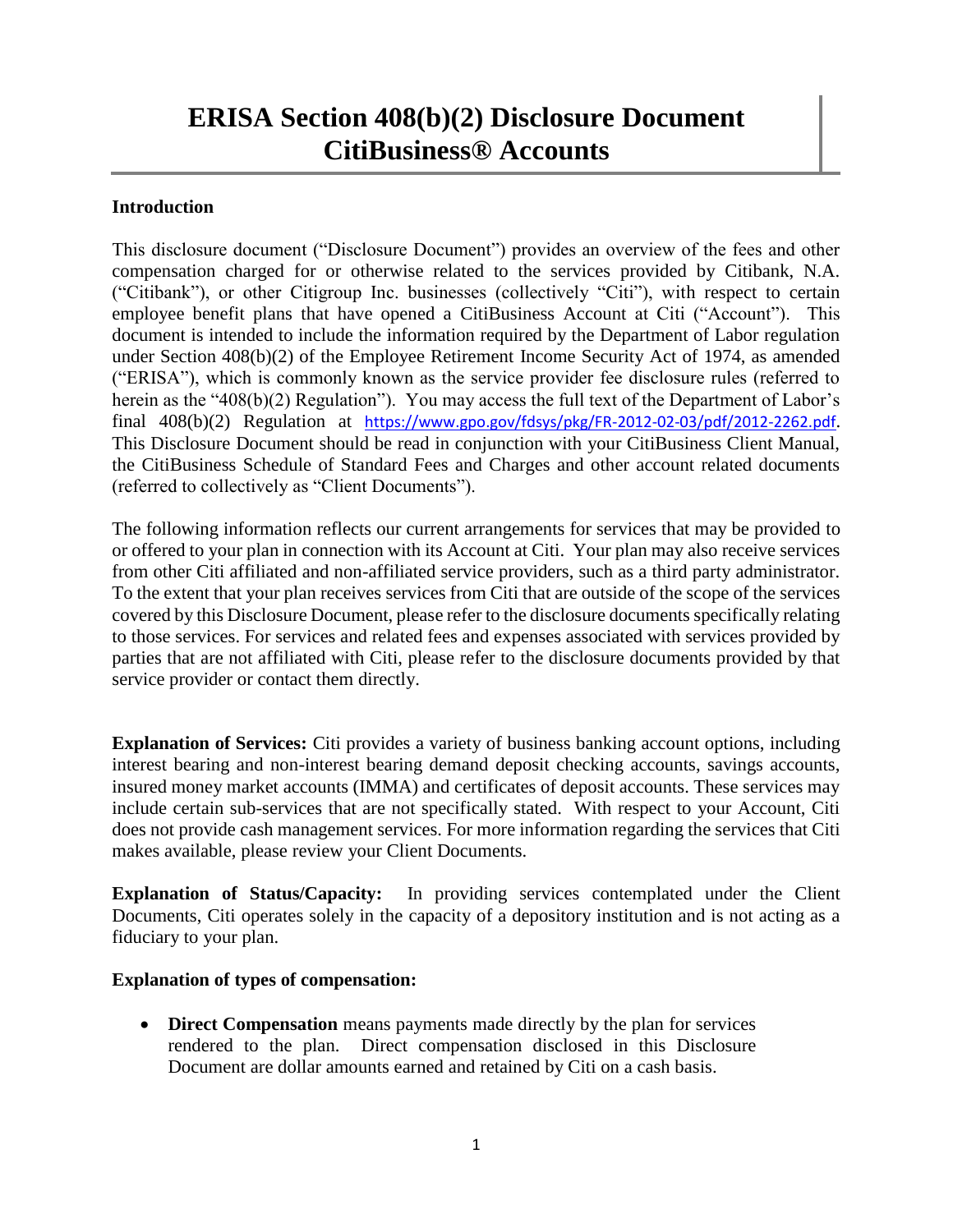## **ERISA Section 408(b)(2) Disclosure Document CitiBusiness® Accounts**

## **Introduction**

This disclosure document ("Disclosure Document") provides an overview of the fees and other compensation charged for or otherwise related to the services provided by Citibank, N.A. ("Citibank"), or other Citigroup Inc. businesses (collectively "Citi"), with respect to certain employee benefit plans that have opened a CitiBusiness Account at Citi ("Account"). This document is intended to include the information required by the Department of Labor regulation under Section 408(b)(2) of the Employee Retirement Income Security Act of 1974, as amended ("ERISA"), which is commonly known as the service provider fee disclosure rules (referred to herein as the "408(b)(2) Regulation"). You may access the full text of the Department of Labor's final 408(b)(2) Regulation at <https://www.gpo.gov/fdsys/pkg/FR-2012-02-03/pdf/2012-2262.pdf>. This Disclosure Document should be read in conjunction with your CitiBusiness Client Manual, the CitiBusiness Schedule of Standard Fees and Charges and other account related documents (referred to collectively as "Client Documents").

The following information reflects our current arrangements for services that may be provided to or offered to your plan in connection with its Account at Citi. Your plan may also receive services from other Citi affiliated and non-affiliated service providers, such as a third party administrator. To the extent that your plan receives services from Citi that are outside of the scope of the services covered by this Disclosure Document, please refer to the disclosure documents specifically relating to those services. For services and related fees and expenses associated with services provided by parties that are not affiliated with Citi, please refer to the disclosure documents provided by that service provider or contact them directly.

**Explanation of Services:** Citi provides a variety of business banking account options, including interest bearing and non-interest bearing demand deposit checking accounts, savings accounts, insured money market accounts (IMMA) and certificates of deposit accounts. These services may include certain sub-services that are not specifically stated. With respect to your Account, Citi does not provide cash management services. For more information regarding the services that Citi makes available, please review your Client Documents.

**Explanation of Status/Capacity:** In providing services contemplated under the Client Documents, Citi operates solely in the capacity of a depository institution and is not acting as a fiduciary to your plan.

## **Explanation of types of compensation:**

 **Direct Compensation** means payments made directly by the plan for services rendered to the plan. Direct compensation disclosed in this Disclosure Document are dollar amounts earned and retained by Citi on a cash basis.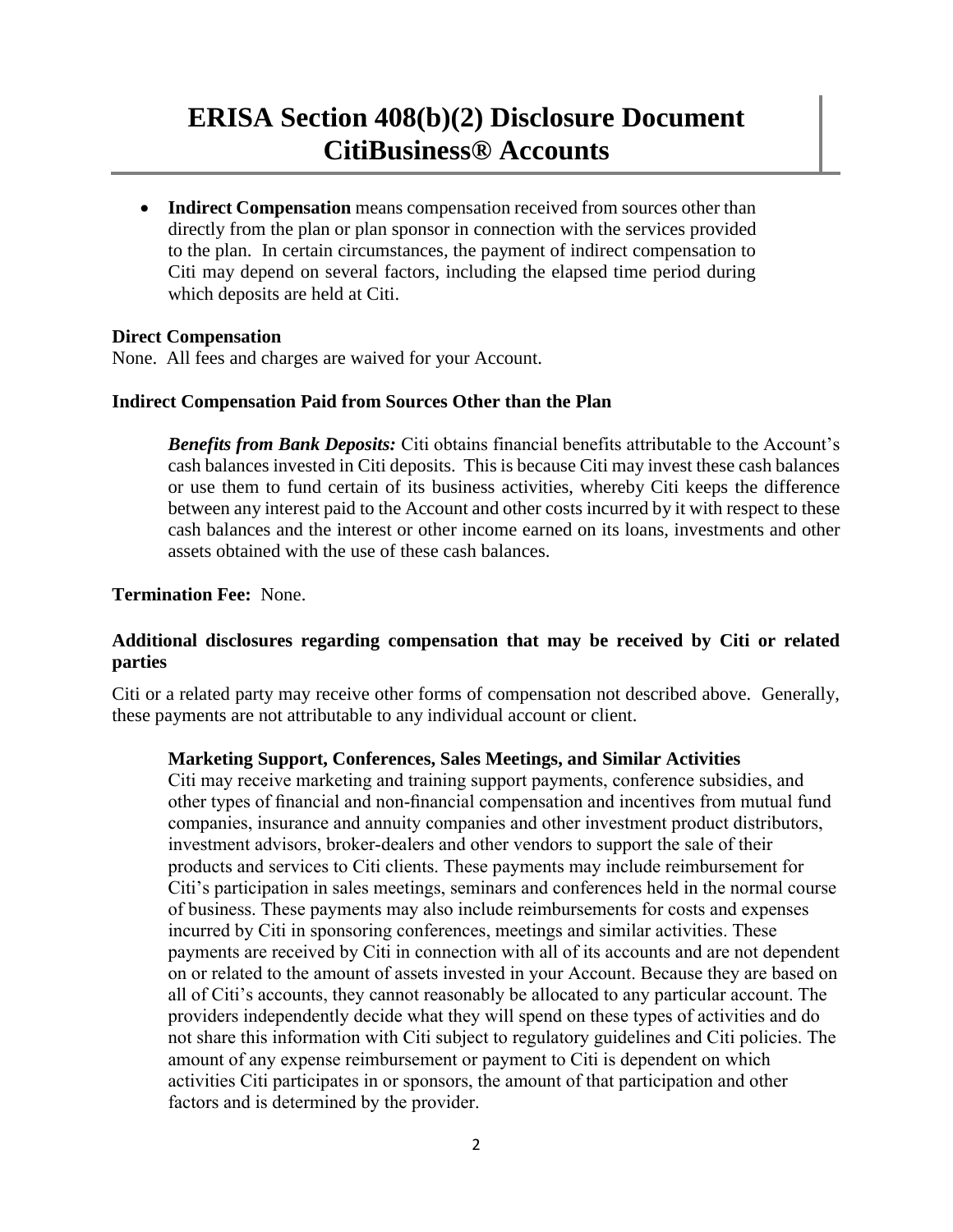## **ERISA Section 408(b)(2) Disclosure Document CitiBusiness® Accounts**

 **Indirect Compensation** means compensation received from sources other than directly from the plan or plan sponsor in connection with the services provided to the plan. In certain circumstances, the payment of indirect compensation to Citi may depend on several factors, including the elapsed time period during which deposits are held at Citi.

#### **Direct Compensation**

None. All fees and charges are waived for your Account.

#### **Indirect Compensation Paid from Sources Other than the Plan**

*Benefits from Bank Deposits:* Citi obtains financial benefits attributable to the Account's cash balances invested in Citi deposits. This is because Citi may invest these cash balances or use them to fund certain of its business activities, whereby Citi keeps the difference between any interest paid to the Account and other costs incurred by it with respect to these cash balances and the interest or other income earned on its loans, investments and other assets obtained with the use of these cash balances.

#### **Termination Fee:** None.

### **Additional disclosures regarding compensation that may be received by Citi or related parties**

Citi or a related party may receive other forms of compensation not described above. Generally, these payments are not attributable to any individual account or client.

#### **Marketing Support, Conferences, Sales Meetings, and Similar Activities**

Citi may receive marketing and training support payments, conference subsidies, and other types of financial and non-financial compensation and incentives from mutual fund companies, insurance and annuity companies and other investment product distributors, investment advisors, broker-dealers and other vendors to support the sale of their products and services to Citi clients. These payments may include reimbursement for Citi's participation in sales meetings, seminars and conferences held in the normal course of business. These payments may also include reimbursements for costs and expenses incurred by Citi in sponsoring conferences, meetings and similar activities. These payments are received by Citi in connection with all of its accounts and are not dependent on or related to the amount of assets invested in your Account. Because they are based on all of Citi's accounts, they cannot reasonably be allocated to any particular account. The providers independently decide what they will spend on these types of activities and do not share this information with Citi subject to regulatory guidelines and Citi policies. The amount of any expense reimbursement or payment to Citi is dependent on which activities Citi participates in or sponsors, the amount of that participation and other factors and is determined by the provider.